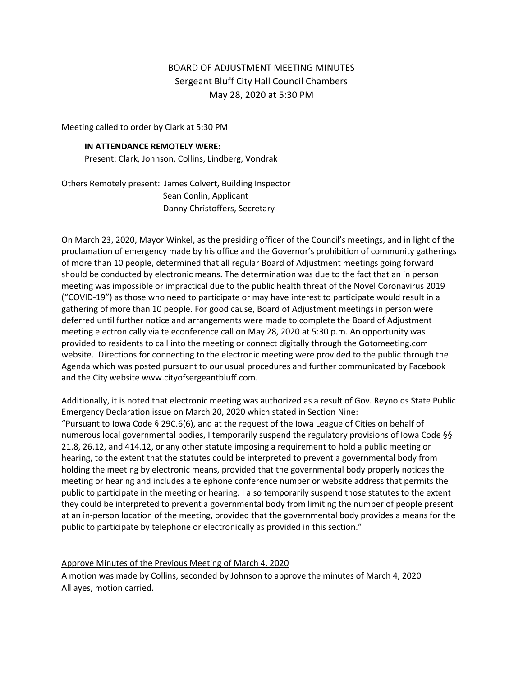## BOARD OF ADJUSTMENT MEETING MINUTES Sergeant Bluff City Hall Council Chambers May 28, 2020 at 5:30 PM

Meeting called to order by Clark at 5:30 PM

## **IN ATTENDANCE REMOTELY WERE:**

Present: Clark, Johnson, Collins, Lindberg, Vondrak

Others Remotely present: James Colvert, Building Inspector Sean Conlin, Applicant Danny Christoffers, Secretary

On March 23, 2020, Mayor Winkel, as the presiding officer of the Council's meetings, and in light of the proclamation of emergency made by his office and the Governor's prohibition of community gatherings of more than 10 people, determined that all regular Board of Adjustment meetings going forward should be conducted by electronic means. The determination was due to the fact that an in person meeting was impossible or impractical due to the public health threat of the Novel Coronavirus 2019 ("COVID-19") as those who need to participate or may have interest to participate would result in a gathering of more than 10 people. For good cause, Board of Adjustment meetings in person were deferred until further notice and arrangements were made to complete the Board of Adjustment meeting electronically via teleconference call on May 28, 2020 at 5:30 p.m. An opportunity was provided to residents to call into the meeting or connect digitally through the Gotomeeting.com website. Directions for connecting to the electronic meeting were provided to the public through the Agenda which was posted pursuant to our usual procedures and further communicated by Facebook and the City website www.cityofsergeantbluff.com.

Additionally, it is noted that electronic meeting was authorized as a result of Gov. Reynolds State Public Emergency Declaration issue on March 20, 2020 which stated in Section Nine: "Pursuant to Iowa Code § 29C.6(6), and at the request of the Iowa League of Cities on behalf of numerous local governmental bodies, I temporarily suspend the regulatory provisions of Iowa Code §§ 21.8, 26.12, and 414.12, or any other statute imposing a requirement to hold a public meeting or hearing, to the extent that the statutes could be interpreted to prevent a governmental body from holding the meeting by electronic means, provided that the governmental body properly notices the meeting or hearing and includes a telephone conference number or website address that permits the public to participate in the meeting or hearing. I also temporarily suspend those statutes to the extent they could be interpreted to prevent a governmental body from limiting the number of people present at an in-person location of the meeting, provided that the governmental body provides a means for the public to participate by telephone or electronically as provided in this section."

Approve Minutes of the Previous Meeting of March 4, 2020

A motion was made by Collins, seconded by Johnson to approve the minutes of March 4, 2020 All ayes, motion carried.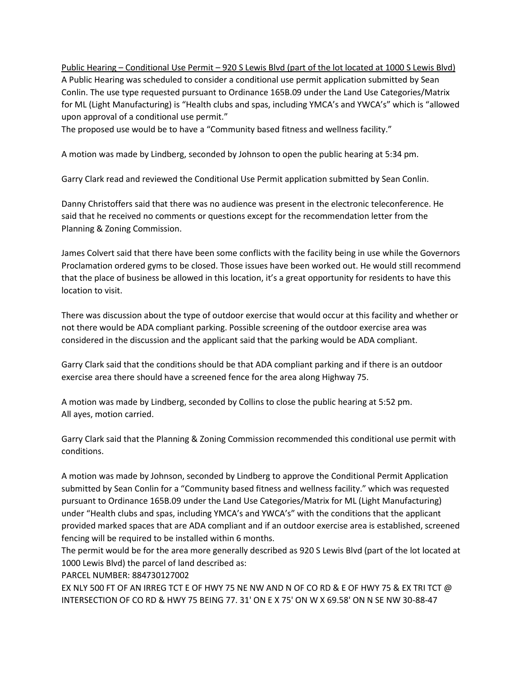Public Hearing – Conditional Use Permit – 920 S Lewis Blvd (part of the lot located at 1000 S Lewis Blvd) A Public Hearing was scheduled to consider a conditional use permit application submitted by Sean Conlin. The use type requested pursuant to Ordinance 165B.09 under the Land Use Categories/Matrix for ML (Light Manufacturing) is "Health clubs and spas, including YMCA's and YWCA's" which is "allowed upon approval of a conditional use permit."

The proposed use would be to have a "Community based fitness and wellness facility."

A motion was made by Lindberg, seconded by Johnson to open the public hearing at 5:34 pm.

Garry Clark read and reviewed the Conditional Use Permit application submitted by Sean Conlin.

Danny Christoffers said that there was no audience was present in the electronic teleconference. He said that he received no comments or questions except for the recommendation letter from the Planning & Zoning Commission.

James Colvert said that there have been some conflicts with the facility being in use while the Governors Proclamation ordered gyms to be closed. Those issues have been worked out. He would still recommend that the place of business be allowed in this location, it's a great opportunity for residents to have this location to visit.

There was discussion about the type of outdoor exercise that would occur at this facility and whether or not there would be ADA compliant parking. Possible screening of the outdoor exercise area was considered in the discussion and the applicant said that the parking would be ADA compliant.

Garry Clark said that the conditions should be that ADA compliant parking and if there is an outdoor exercise area there should have a screened fence for the area along Highway 75.

A motion was made by Lindberg, seconded by Collins to close the public hearing at 5:52 pm. All ayes, motion carried.

Garry Clark said that the Planning & Zoning Commission recommended this conditional use permit with conditions.

A motion was made by Johnson, seconded by Lindberg to approve the Conditional Permit Application submitted by Sean Conlin for a "Community based fitness and wellness facility." which was requested pursuant to Ordinance 165B.09 under the Land Use Categories/Matrix for ML (Light Manufacturing) under "Health clubs and spas, including YMCA's and YWCA's" with the conditions that the applicant provided marked spaces that are ADA compliant and if an outdoor exercise area is established, screened fencing will be required to be installed within 6 months.

The permit would be for the area more generally described as 920 S Lewis Blvd (part of the lot located at 1000 Lewis Blvd) the parcel of land described as:

PARCEL NUMBER: 884730127002

EX NLY 500 FT OF AN IRREG TCT E OF HWY 75 NE NW AND N OF CO RD & E OF HWY 75 & EX TRI TCT  $@$ INTERSECTION OF CO RD & HWY 75 BEING 77. 31' ON E X 75' ON W X 69.58' ON N SE NW 30-88-47